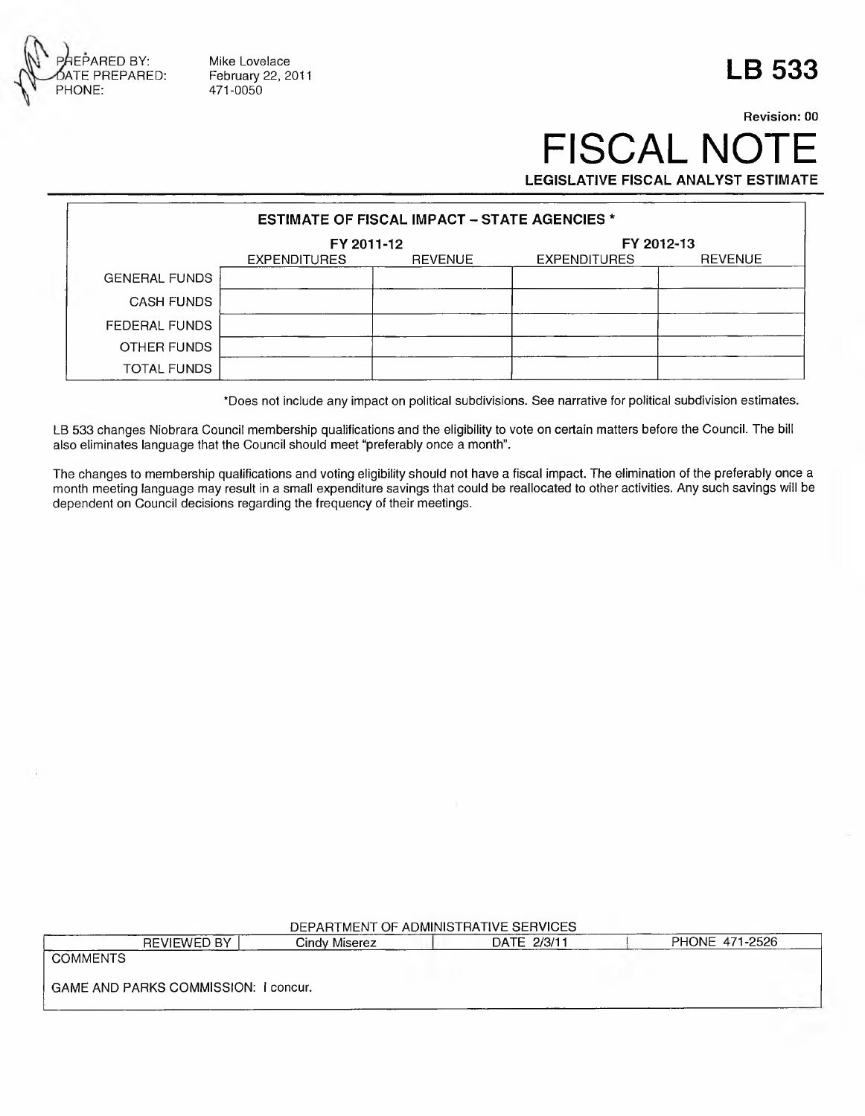

Mike Lovelace 471-0050

## **LB 533**

## **Revision: 00** FISCAL NOTE **LEGISLATIVE FISCAL ANALYST ESTIMATE**

| <b>ESTIMATE OF FISCAL IMPACT – STATE AGENCIES *</b> |                     |                |                     |                |  |  |
|-----------------------------------------------------|---------------------|----------------|---------------------|----------------|--|--|
|                                                     | FY 2011-12          |                | FY 2012-13          |                |  |  |
|                                                     | <b>EXPENDITURES</b> | <b>REVENUE</b> | <b>EXPENDITURES</b> | <b>REVENUE</b> |  |  |
| <b>GENERAL FUNDS</b>                                |                     |                |                     |                |  |  |
| <b>CASH FUNDS</b>                                   |                     |                |                     |                |  |  |
| FEDERAL FUNDS                                       |                     |                |                     |                |  |  |
| OTHER FUNDS                                         |                     |                |                     |                |  |  |
| TOTAL FUNDS                                         |                     |                |                     |                |  |  |

\*Does not Include any im pact on political subdivisions. See narrative for political subdivision estim ates.

LB 533 changes Niobrara Council membership qualifications and the eligibility to vote on certain matters before the Council. The bill also eliminates language that the Council should meet "preferably once a month".

The changes to membership qualifications and voting eligibility should not have a fiscal impact. The elimination of the preferably once a month meeting language may result in a small expenditure savings that could be reallocated to other activities. Any such savings will be dependent on Council decisions regarding the frequency of their meetings.

| DEPARTMENT OF ADMINISTRATIVE SERVICES |                    |               |  |             |  |                |  |
|---------------------------------------|--------------------|---------------|--|-------------|--|----------------|--|
|                                       | <b>REVIEWED BY</b> | Cindy Miserez |  | DATE 2/3/11 |  | PHONE 471-2526 |  |
| <b>COMMENTS</b>                       |                    |               |  |             |  |                |  |
| GAME AND PARKS COMMISSION: I concur.  |                    |               |  |             |  |                |  |